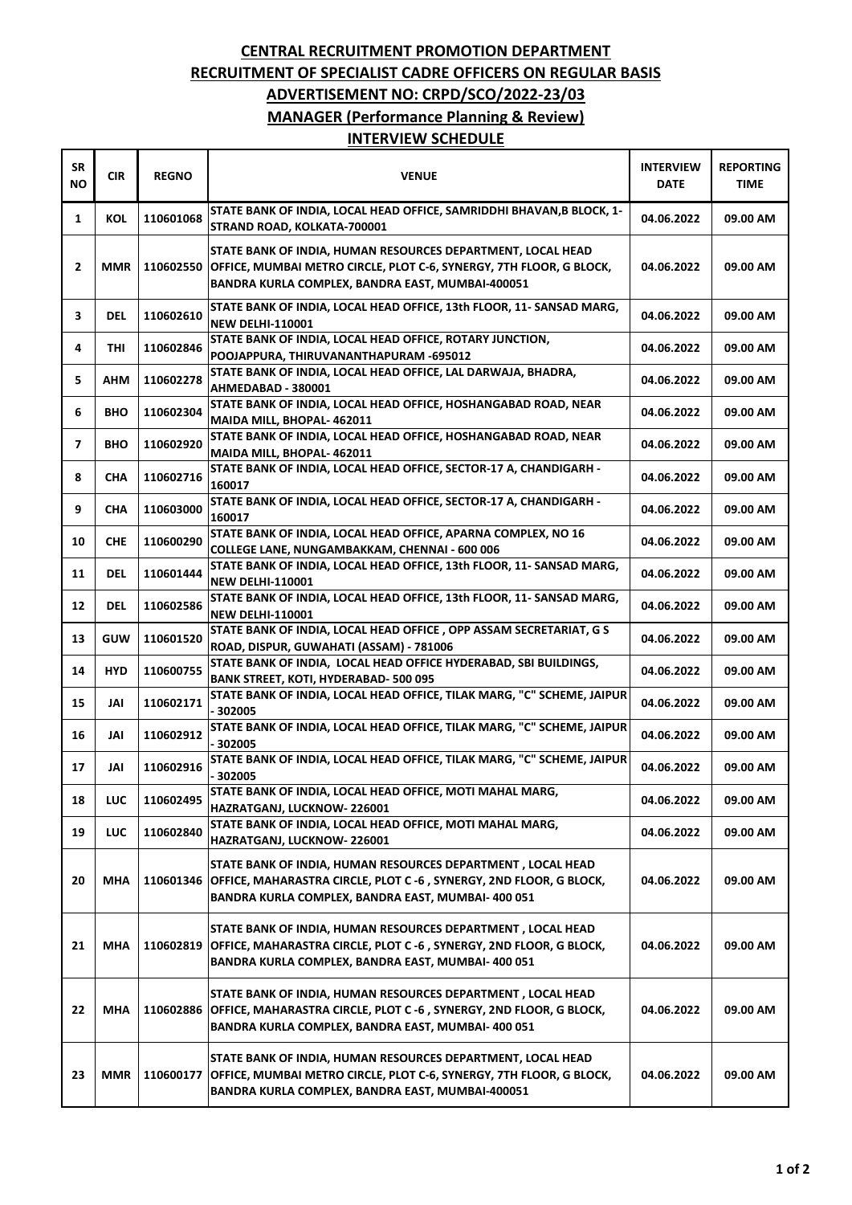## **CENTRAL RECRUITMENT PROMOTION DEPARTMENT RECRUITMENT OF SPECIALIST CADRE OFFICERS ON REGULAR BASIS ADVERTISEMENT NO: CRPD/SCO/2022-23/03 MANAGER (Performance Planning & Review) INTERVIEW SCHEDULE**

| <b>SR</b><br><b>NO</b> | <b>CIR</b> | <b>REGNO</b> | <b>VENUE</b>                                                                                                                                                                            | <b>INTERVIEW</b><br><b>DATE</b> | <b>REPORTING</b><br><b>TIME</b> |
|------------------------|------------|--------------|-----------------------------------------------------------------------------------------------------------------------------------------------------------------------------------------|---------------------------------|---------------------------------|
| 1                      | KOL        | 110601068    | STATE BANK OF INDIA, LOCAL HEAD OFFICE, SAMRIDDHI BHAVAN, B BLOCK, 1-<br>STRAND ROAD, KOLKATA-700001                                                                                    | 04.06.2022                      | 09.00 AM                        |
| 2                      | MMR        | 110602550    | STATE BANK OF INDIA, HUMAN RESOURCES DEPARTMENT, LOCAL HEAD<br>OFFICE, MUMBAI METRO CIRCLE, PLOT C-6, SYNERGY, 7TH FLOOR, G BLOCK,<br>BANDRA KURLA COMPLEX, BANDRA EAST, MUMBAI-400051  | 04.06.2022                      | 09.00 AM                        |
| 3                      | <b>DEL</b> | 110602610    | STATE BANK OF INDIA, LOCAL HEAD OFFICE, 13th FLOOR, 11- SANSAD MARG,<br><b>NEW DELHI-110001</b>                                                                                         | 04.06.2022                      | 09.00 AM                        |
| 4                      | THI        | 110602846    | STATE BANK OF INDIA, LOCAL HEAD OFFICE, ROTARY JUNCTION,<br>POOJAPPURA, THIRUVANANTHAPURAM -695012                                                                                      | 04.06.2022                      | 09.00 AM                        |
| 5                      | AHM        | 110602278    | STATE BANK OF INDIA, LOCAL HEAD OFFICE, LAL DARWAJA, BHADRA,<br>AHMEDABAD - 380001                                                                                                      | 04.06.2022                      | 09.00 AM                        |
| 6                      | <b>BHO</b> | 110602304    | STATE BANK OF INDIA, LOCAL HEAD OFFICE, HOSHANGABAD ROAD, NEAR<br>MAIDA MILL, BHOPAL- 462011                                                                                            | 04.06.2022                      | 09.00 AM                        |
| $\overline{ }$         | <b>BHO</b> | 110602920    | STATE BANK OF INDIA, LOCAL HEAD OFFICE, HOSHANGABAD ROAD, NEAR<br>MAIDA MILL, BHOPAL- 462011                                                                                            | 04.06.2022                      | 09.00 AM                        |
| 8                      | CHA        | 110602716    | STATE BANK OF INDIA, LOCAL HEAD OFFICE, SECTOR-17 A, CHANDIGARH -<br>160017                                                                                                             | 04.06.2022                      | 09.00 AM                        |
| 9                      | <b>CHA</b> | 110603000    | STATE BANK OF INDIA, LOCAL HEAD OFFICE, SECTOR-17 A, CHANDIGARH -<br>160017                                                                                                             | 04.06.2022                      | 09.00 AM                        |
| 10                     | <b>CHE</b> | 110600290    | STATE BANK OF INDIA, LOCAL HEAD OFFICE, APARNA COMPLEX, NO 16<br>COLLEGE LANE, NUNGAMBAKKAM, CHENNAI - 600 006                                                                          | 04.06.2022                      | 09.00 AM                        |
| 11                     | <b>DEL</b> | 110601444    | STATE BANK OF INDIA, LOCAL HEAD OFFICE, 13th FLOOR, 11- SANSAD MARG,<br><b>NEW DELHI-110001</b>                                                                                         | 04.06.2022                      | 09.00 AM                        |
| 12                     | DEL        | 110602586    | STATE BANK OF INDIA, LOCAL HEAD OFFICE, 13th FLOOR, 11- SANSAD MARG,<br><b>NEW DELHI-110001</b>                                                                                         | 04.06.2022                      | 09.00 AM                        |
| 13                     | <b>GUW</b> | 110601520    | STATE BANK OF INDIA, LOCAL HEAD OFFICE, OPP ASSAM SECRETARIAT, G S<br>ROAD, DISPUR, GUWAHATI (ASSAM) - 781006                                                                           | 04.06.2022                      | 09.00 AM                        |
| 14                     | <b>HYD</b> | 110600755    | STATE BANK OF INDIA, LOCAL HEAD OFFICE HYDERABAD, SBI BUILDINGS,<br><b>BANK STREET, KOTI, HYDERABAD-500 095</b>                                                                         | 04.06.2022                      | 09.00 AM                        |
| 15                     | JAI        | 110602171    | STATE BANK OF INDIA, LOCAL HEAD OFFICE, TILAK MARG, "C" SCHEME, JAIPUR<br>- 302005                                                                                                      | 04.06.2022                      | 09.00 AM                        |
| 16                     | JAI        | 110602912    | STATE BANK OF INDIA, LOCAL HEAD OFFICE, TILAK MARG, "C" SCHEME, JAIPUR<br>- 302005                                                                                                      | 04.06.2022                      | 09.00 AM                        |
| 17                     | JAI        | 110602916    | STATE BANK OF INDIA, LOCAL HEAD OFFICE, TILAK MARG, "C" SCHEME, JAIPUR<br>- 302005                                                                                                      | 04.06.2022                      | 09.00 AM                        |
| 18                     | LUC        | 110602495    | STATE BANK OF INDIA, LOCAL HEAD OFFICE, MOTI MAHAL MARG,<br>HAZRATGANJ, LUCKNOW-226001                                                                                                  | 04.06.2022                      | 09.00 AM                        |
| 19                     | LUC        | 110602840    | STATE BANK OF INDIA, LOCAL HEAD OFFICE, MOTI MAHAL MARG,<br><b>HAZRATGANJ, LUCKNOW-226001</b>                                                                                           | 04.06.2022                      | 09.00 AM                        |
| 20                     | <b>MHA</b> | 110601346    | STATE BANK OF INDIA, HUMAN RESOURCES DEPARTMENT, LOCAL HEAD<br>OFFICE, MAHARASTRA CIRCLE, PLOT C -6, SYNERGY, 2ND FLOOR, G BLOCK,<br>BANDRA KURLA COMPLEX, BANDRA EAST, MUMBAI- 400 051 | 04.06.2022                      | 09.00 AM                        |
| 21                     | MHA        | 110602819    | STATE BANK OF INDIA, HUMAN RESOURCES DEPARTMENT, LOCAL HEAD<br>OFFICE, MAHARASTRA CIRCLE, PLOT C -6, SYNERGY, 2ND FLOOR, G BLOCK,<br>BANDRA KURLA COMPLEX, BANDRA EAST, MUMBAI- 400 051 | 04.06.2022                      | 09.00 AM                        |
| 22                     | <b>MHA</b> | 110602886    | STATE BANK OF INDIA, HUMAN RESOURCES DEPARTMENT, LOCAL HEAD<br>OFFICE, MAHARASTRA CIRCLE, PLOT C -6, SYNERGY, 2ND FLOOR, G BLOCK,<br>BANDRA KURLA COMPLEX, BANDRA EAST, MUMBAI- 400 051 | 04.06.2022                      | 09.00 AM                        |
| 23                     | <b>MMR</b> | 110600177    | STATE BANK OF INDIA, HUMAN RESOURCES DEPARTMENT, LOCAL HEAD<br>OFFICE, MUMBAI METRO CIRCLE, PLOT C-6, SYNERGY, 7TH FLOOR, G BLOCK,<br>BANDRA KURLA COMPLEX, BANDRA EAST, MUMBAI-400051  | 04.06.2022                      | 09.00 AM                        |